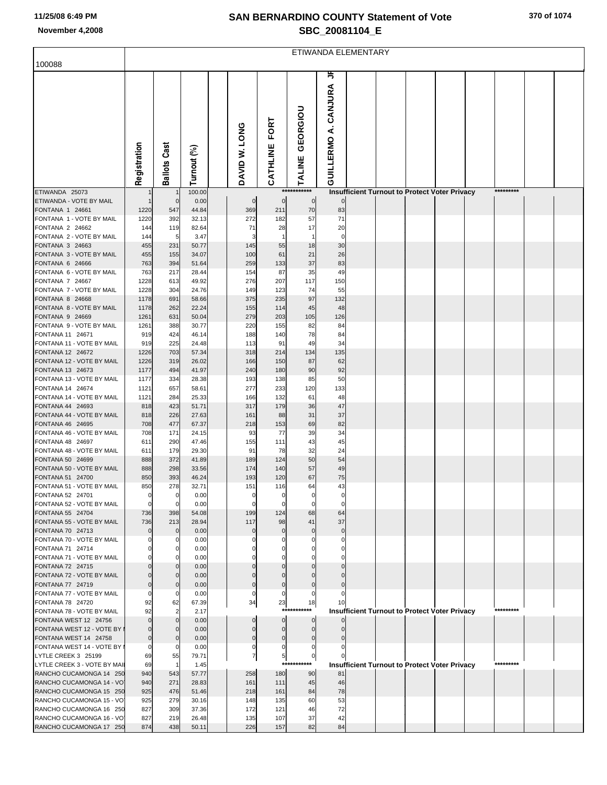## **SAN BERNARDINO COUNTY Statement of Vote November 4,2008 SBC\_20081104\_E**

|                                                     | ETIWANDA ELEMENTARY |                                  |                |  |                     |                       |                          |                                  |  |  |                                                      |  |  |           |  |  |
|-----------------------------------------------------|---------------------|----------------------------------|----------------|--|---------------------|-----------------------|--------------------------|----------------------------------|--|--|------------------------------------------------------|--|--|-----------|--|--|
| 100088                                              |                     |                                  |                |  |                     |                       |                          |                                  |  |  |                                                      |  |  |           |  |  |
|                                                     | Registration        | <b>Ballots Cast</b>              | Turnout (%)    |  | DAVID W. LONG       | FORT<br>CATHLINE      | GEORGIOU<br><b>ALINE</b> | ≒<br><b>GUILLERMO A. CANJURA</b> |  |  |                                                      |  |  |           |  |  |
| ETIWANDA 25073                                      |                     |                                  | 100.00         |  |                     |                       | ***********              |                                  |  |  | <b>Insufficient Turnout to Protect Voter Privacy</b> |  |  | ********* |  |  |
| ETIWANDA - VOTE BY MAIL<br>FONTANA 1 24661          | 1220                | $\mathbf 0$<br>547               | 0.00<br>44.84  |  | $\mathbf 0$<br>369  | $\mathbf 0$<br>211    | $\overline{0}$<br>70     | 83                               |  |  |                                                      |  |  |           |  |  |
| FONTANA 1 - VOTE BY MAIL                            | 1220                | 392                              | 32.13          |  | 272                 | 182                   | 57                       | 71                               |  |  |                                                      |  |  |           |  |  |
| FONTANA 2 24662                                     | 144                 | 119                              | 82.64          |  | 71                  | 28                    | 17                       | 20                               |  |  |                                                      |  |  |           |  |  |
| FONTANA 2 - VOTE BY MAIL<br>FONTANA 3 24663         | 144<br>455          | 5<br>231                         | 3.47<br>50.77  |  | 3<br>145            | 55                    | -1<br>18                 | 0<br>30                          |  |  |                                                      |  |  |           |  |  |
| FONTANA 3 - VOTE BY MAIL                            | 455                 | 155                              | 34.07          |  | 100                 | 61                    | 21                       | 26                               |  |  |                                                      |  |  |           |  |  |
| FONTANA 6 24666                                     | 763                 | 394                              | 51.64          |  | 259                 | 133                   | 37                       | 83                               |  |  |                                                      |  |  |           |  |  |
| FONTANA 6 - VOTE BY MAIL                            | 763                 | 217                              | 28.44          |  | 154                 | 87                    | 35                       | 49                               |  |  |                                                      |  |  |           |  |  |
| FONTANA 7 24667<br>FONTANA 7 - VOTE BY MAIL         | 1228<br>1228        | 613<br>304                       | 49.92<br>24.76 |  | 276<br>149          | 207<br>123            | 117<br>74                | 150<br>55                        |  |  |                                                      |  |  |           |  |  |
| <b>FONTANA 8 24668</b>                              | 1178                | 691                              | 58.66          |  | 375                 | 235                   | 97                       | 132                              |  |  |                                                      |  |  |           |  |  |
| FONTANA 8 - VOTE BY MAIL                            | 1178                | 262                              | 22.24          |  | 155                 | 114                   | 45                       | 48                               |  |  |                                                      |  |  |           |  |  |
| FONTANA 9 24669<br>FONTANA 9 - VOTE BY MAIL         | 1261<br>1261        | 631<br>388                       | 50.04<br>30.77 |  | 279<br>220          | 203<br>155            | 105<br>82                | 126<br>84                        |  |  |                                                      |  |  |           |  |  |
| FONTANA 11 24671                                    | 919                 | 424                              | 46.14          |  | 188                 | 140                   | 78                       | 84                               |  |  |                                                      |  |  |           |  |  |
| FONTANA 11 - VOTE BY MAIL                           | 919                 | 225                              | 24.48          |  | 113                 | 91                    | 49                       | 34                               |  |  |                                                      |  |  |           |  |  |
| FONTANA 12 24672                                    | 1226                | 703                              | 57.34          |  | 318                 | 214                   | 134                      | 135                              |  |  |                                                      |  |  |           |  |  |
| FONTANA 12 - VOTE BY MAIL<br>FONTANA 13 24673       | 1226<br>1177        | 319<br>494                       | 26.02<br>41.97 |  | 166<br>240          | 150<br>180            | 87<br>90                 | 62<br>92                         |  |  |                                                      |  |  |           |  |  |
| FONTANA 13 - VOTE BY MAIL                           | 1177                | 334                              | 28.38          |  | 193                 | 138                   | 85                       | 50                               |  |  |                                                      |  |  |           |  |  |
| FONTANA 14 24674                                    | 1121                | 657                              | 58.61          |  | 277                 | 233                   | 120                      | 133                              |  |  |                                                      |  |  |           |  |  |
| FONTANA 14 - VOTE BY MAIL<br>FONTANA 44 24693       | 1121                | 284<br>423                       | 25.33          |  | 166<br>317          | 132                   | 61                       | 48<br>47                         |  |  |                                                      |  |  |           |  |  |
| FONTANA 44 - VOTE BY MAIL                           | 818<br>818          | 226                              | 51.71<br>27.63 |  | 161                 | 179<br>88             | 36<br>31                 | 37                               |  |  |                                                      |  |  |           |  |  |
| FONTANA 46 24695                                    | 708                 | 477                              | 67.37          |  | 218                 | 153                   | 69                       | 82                               |  |  |                                                      |  |  |           |  |  |
| FONTANA 46 - VOTE BY MAIL                           | 708                 | 171                              | 24.15          |  | 93                  | 77                    | 39                       | 34                               |  |  |                                                      |  |  |           |  |  |
| FONTANA 48 24697<br>FONTANA 48 - VOTE BY MAIL       | 611<br>611          | 290<br>179                       | 47.46<br>29.30 |  | 155<br>91           | 111<br>78             | 43<br>32                 | 45<br>24                         |  |  |                                                      |  |  |           |  |  |
| FONTANA 50 24699                                    | 888                 | 372                              | 41.89          |  | 189                 | 124                   | 50                       | 54                               |  |  |                                                      |  |  |           |  |  |
| FONTANA 50 - VOTE BY MAIL                           | 888                 | 298                              | 33.56          |  | 174                 | 140                   | 57                       | 49                               |  |  |                                                      |  |  |           |  |  |
| FONTANA 51 24700                                    | 850                 | 393                              | 46.24          |  | 193                 | 120                   | 67                       | 75                               |  |  |                                                      |  |  |           |  |  |
| FONTANA 51 - VOTE BY MAIL<br>FONTANA 52 24701       | 850<br>$\Omega$     | 278<br>0                         | 32.71<br>0.00  |  | 151                 | 116                   | 64<br>0                  | 43                               |  |  |                                                      |  |  |           |  |  |
| FONTANA 52 - VOTE BY MAIL                           | $\Omega$            | $\mathbf 0$                      | 0.00           |  | 0                   |                       | $\mathbf 0$              | C                                |  |  |                                                      |  |  |           |  |  |
| FONTANA 55 24704                                    | 736                 | 398                              | 54.08          |  | 199                 | 124                   | 68                       | 64                               |  |  |                                                      |  |  |           |  |  |
| FONTANA 55 - VOTE BY MAIL                           | 736                 | 213                              | 28.94          |  | 117                 | 98                    | 41                       | 37                               |  |  |                                                      |  |  |           |  |  |
| FONTANA 70 24713<br>FONTANA 70 - VOTE BY MAIL       |                     | $\overline{0}$<br>$\mathbf 0$    | 0.00<br>0.00   |  | $\Omega$<br>0       | $\mathbf 0$<br>0      | $\mathbf 0$<br>0         | $\mathbf 0$<br>0                 |  |  |                                                      |  |  |           |  |  |
| FONTANA 71 24714                                    |                     | $\mathbf 0$                      | 0.00           |  |                     | 0                     | $\Omega$                 |                                  |  |  |                                                      |  |  |           |  |  |
| FONTANA 71 - VOTE BY MAIL                           |                     | $\mathbf 0$                      | 0.00           |  |                     | O                     | $\Omega$                 |                                  |  |  |                                                      |  |  |           |  |  |
| FONTANA 72 24715<br>FONTANA 72 - VOTE BY MAIL       |                     | $\mathbf 0$<br>$\mathbf 0$       | 0.00<br>0.00   |  |                     | $\Omega$              | $\mathbf 0$<br>$\Omega$  |                                  |  |  |                                                      |  |  |           |  |  |
| FONTANA 77 24719                                    |                     | $\mathbf 0$                      | 0.00           |  | $\mathbf 0$         | $\Omega$              | $\mathbf 0$              |                                  |  |  |                                                      |  |  |           |  |  |
| FONTANA 77 - VOTE BY MAIL                           |                     | $\mathbf 0$                      | 0.00           |  | 0                   | $\Omega$              | $\mathbf 0$              |                                  |  |  |                                                      |  |  |           |  |  |
| FONTANA 78 24720                                    | 92<br>92            | 62                               | 67.39          |  | 34                  | 23<br>***             | 18<br>***                | 10                               |  |  |                                                      |  |  | ********* |  |  |
| FONTANA 78 - VOTE BY MAIL<br>FONTANA WEST 12 24756  |                     | $\overline{2}$<br>$\overline{0}$ | 2.17<br>0.00   |  | $\mathbf 0$         | $\overline{0}$        | $\circ$                  |                                  |  |  | <b>Insufficient Turnout to Protect Voter Privacy</b> |  |  |           |  |  |
| FONTANA WEST 12 - VOTE BY                           |                     | $\mathbf 0$                      | 0.00           |  | $\Omega$            | $\overline{0}$        | $\overline{0}$           |                                  |  |  |                                                      |  |  |           |  |  |
| FONTANA WEST 14 24758                               | $\mathbf 0$         | $\mathbf 0$                      | 0.00           |  | 0                   | $\overline{0}$        | $\mathbf 0$              |                                  |  |  |                                                      |  |  |           |  |  |
| FONTANA WEST 14 - VOTE BY<br>LYTLE CREEK 3 25199    | 0<br>69             | $\mathbf 0$<br>55                | 0.00<br>79.71  |  | 0<br>$\overline{7}$ | 0                     | 0<br>$\overline{0}$      |                                  |  |  |                                                      |  |  |           |  |  |
| LYTLE CREEK 3 - VOTE BY MAIL                        | 69                  | $\mathbf{1}$                     | 1.45           |  |                     | $\overline{5}$<br>*** | ***                      |                                  |  |  | <b>Insufficient Turnout to Protect Voter Privacy</b> |  |  | ********* |  |  |
| RANCHO CUCAMONGA 14 250                             | 940                 | 543                              | 57.77          |  | 258                 | 180                   | 90                       | 81                               |  |  |                                                      |  |  |           |  |  |
| RANCHO CUCAMONGA 14 - VO                            | 940                 | 271                              | 28.83          |  | 161                 | 111                   | 45                       | 46                               |  |  |                                                      |  |  |           |  |  |
| RANCHO CUCAMONGA 15 250<br>RANCHO CUCAMONGA 15 - VO | 925<br>925          | 476<br>279                       | 51.46<br>30.16 |  | 218                 | 161<br>135            | 84<br>60                 | 78<br>53                         |  |  |                                                      |  |  |           |  |  |
| RANCHO CUCAMONGA 16 250                             | 827                 | 309                              | 37.36          |  | 148<br>172          | 121                   | 46                       | 72                               |  |  |                                                      |  |  |           |  |  |
| RANCHO CUCAMONGA 16 - VO                            | 827                 | 219                              | 26.48          |  | 135                 | 107                   | 37                       | 42                               |  |  |                                                      |  |  |           |  |  |
| RANCHO CUCAMONGA 17 250                             | 874                 | 438                              | 50.11          |  | 226                 | 157                   | 82                       | 84                               |  |  |                                                      |  |  |           |  |  |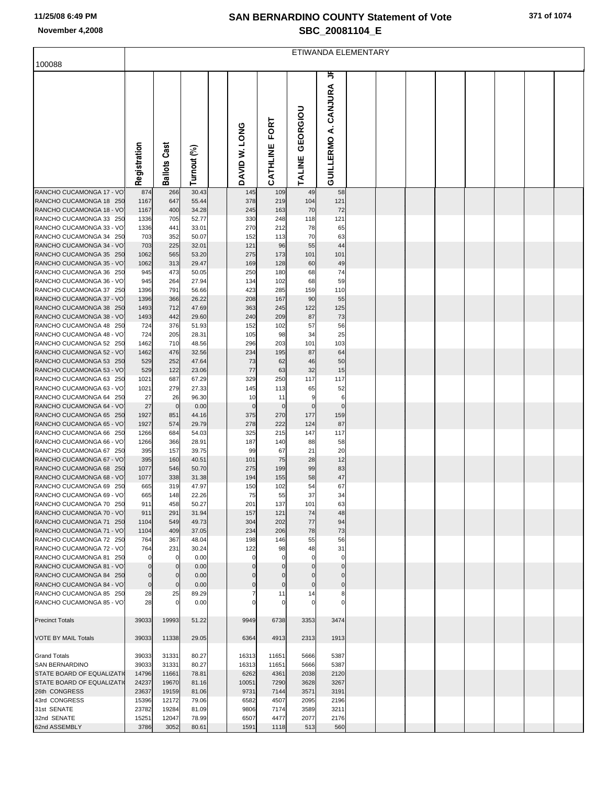## **SAN BERNARDINO COUNTY Statement of Vote November 4,2008 SBC\_20081104\_E**

|                                                                                                                                       | ETIWANDA ELEMENTARY                 |                                 |                                           |  |                                 |                                 |                              |                                        |  |  |  |  |  |  |  |  |
|---------------------------------------------------------------------------------------------------------------------------------------|-------------------------------------|---------------------------------|-------------------------------------------|--|---------------------------------|---------------------------------|------------------------------|----------------------------------------|--|--|--|--|--|--|--|--|
| 100088                                                                                                                                |                                     |                                 |                                           |  |                                 |                                 |                              |                                        |  |  |  |  |  |  |  |  |
|                                                                                                                                       | Registration                        | <b>Ballots Cast</b>             | Turnout (%)                               |  | DAVID W. LONG                   | FORT<br>CATHLINE                | GEORGIOU<br>TALINE           | 丐<br>CANJURA<br>نج<br><b>GUILLERMO</b> |  |  |  |  |  |  |  |  |
| RANCHO CUCAMONGA 17 - VO                                                                                                              | 874                                 | 266                             | 30.43                                     |  | 145                             | 109                             | 49                           | 58                                     |  |  |  |  |  |  |  |  |
| RANCHO CUCAMONGA 18 250<br>RANCHO CUCAMONGA 18 - VO<br>RANCHO CUCAMONGA 33 250<br>RANCHO CUCAMONGA 33 - VO<br>RANCHO CUCAMONGA 34 250 | 1167<br>1167<br>1336<br>1336<br>703 | 647<br>400<br>705<br>441<br>352 | 55.44<br>34.28<br>52.77<br>33.01<br>50.07 |  | 378<br>245<br>330<br>270<br>152 | 219<br>163<br>248<br>212<br>113 | 104<br>70<br>118<br>78<br>70 | 121<br>72<br>121<br>65<br>63           |  |  |  |  |  |  |  |  |
| RANCHO CUCAMONGA 34 - VO<br>RANCHO CUCAMONGA 35 250                                                                                   | 703<br>1062                         | 225<br>565                      | 32.01<br>53.20                            |  | 121<br>275                      | 96<br>173                       | 55<br>101                    | 44<br>101                              |  |  |  |  |  |  |  |  |
| RANCHO CUCAMONGA 35 - VO                                                                                                              | 1062                                | 313                             | 29.47                                     |  | 169                             | 128                             | 60                           | 49                                     |  |  |  |  |  |  |  |  |
| RANCHO CUCAMONGA 36 250<br>RANCHO CUCAMONGA 36 - VO                                                                                   | 945                                 | 473<br>264                      | 50.05<br>27.94                            |  | 250<br>134                      | 180<br>102                      | 68<br>68                     | 74<br>59                               |  |  |  |  |  |  |  |  |
| RANCHO CUCAMONGA 37 250                                                                                                               | 945<br>1396                         | 791                             | 56.66                                     |  | 423                             | 285                             | 159                          | 110                                    |  |  |  |  |  |  |  |  |
| RANCHO CUCAMONGA 37 - VO                                                                                                              | 1396                                | 366                             | 26.22                                     |  | 208                             | 167                             | 90                           | 55                                     |  |  |  |  |  |  |  |  |
| RANCHO CUCAMONGA 38 250<br>RANCHO CUCAMONGA 38 - VO                                                                                   | 1493<br>1493                        | 712<br>442                      | 47.69<br>29.60                            |  | 363<br>240                      | 245<br>209                      | 122<br>87                    | 125<br>73                              |  |  |  |  |  |  |  |  |
| RANCHO CUCAMONGA 48 250                                                                                                               | 724                                 | 376                             | 51.93                                     |  | 152                             | 102                             | 57                           | 56                                     |  |  |  |  |  |  |  |  |
| RANCHO CUCAMONGA 48 - VO<br>RANCHO CUCAMONGA 52 250                                                                                   | 724<br>1462                         | 205<br>710                      | 28.31<br>48.56                            |  | 105<br>296                      | 98<br>203                       | 34<br>101                    | 25<br>103                              |  |  |  |  |  |  |  |  |
| RANCHO CUCAMONGA 52 - VO                                                                                                              | 1462                                | 476                             | 32.56                                     |  | 234                             | 195                             | 87                           | 64                                     |  |  |  |  |  |  |  |  |
| RANCHO CUCAMONGA 53 250                                                                                                               | 529                                 | 252                             | 47.64                                     |  | 73                              | 62                              | 46                           | 50                                     |  |  |  |  |  |  |  |  |
| RANCHO CUCAMONGA 53 - VO<br>RANCHO CUCAMONGA 63 250                                                                                   | 529<br>1021                         | 122<br>687                      | 23.06<br>67.29                            |  | 77<br>329                       | 63<br>250                       | 32<br>117                    | 15<br>117                              |  |  |  |  |  |  |  |  |
| RANCHO CUCAMONGA 63 - VO                                                                                                              | 1021                                | 279                             | 27.33                                     |  | 145                             | 113                             | 65                           | 52                                     |  |  |  |  |  |  |  |  |
| RANCHO CUCAMONGA 64 250<br>RANCHO CUCAMONGA 64 - VO                                                                                   | 27<br>27                            | 26<br>$\mathbf 0$               | 96.30<br>0.00                             |  | 10<br>$\mathbf 0$               | 11<br>$\mathbf 0$               | 9<br>$\mathbf{0}$            | 6<br>$\mathbf 0$                       |  |  |  |  |  |  |  |  |
| RANCHO CUCAMONGA 65 250                                                                                                               | 1927                                | 851                             | 44.16                                     |  | 375                             | 270                             | 177                          | 159                                    |  |  |  |  |  |  |  |  |
| RANCHO CUCAMONGA 65 - VO                                                                                                              | 1927                                | 574                             | 29.79                                     |  | 278                             | 222                             | 124                          | 87                                     |  |  |  |  |  |  |  |  |
| RANCHO CUCAMONGA 66 250<br>RANCHO CUCAMONGA 66 - VO                                                                                   | 1266<br>1266                        | 684<br>366                      | 54.03<br>28.91                            |  | 325<br>187                      | 215<br>140                      | 147<br>88                    | 117<br>58                              |  |  |  |  |  |  |  |  |
| RANCHO CUCAMONGA 67 250                                                                                                               | 395                                 | 157                             | 39.75                                     |  | 99                              | 67                              | 21                           | 20                                     |  |  |  |  |  |  |  |  |
| RANCHO CUCAMONGA 67 - VO<br>RANCHO CUCAMONGA 68 250                                                                                   | 395<br>1077                         | 160<br>546                      | 40.51<br>50.70                            |  | 101<br>275                      | 75<br>199                       | 28<br>99                     | 12<br>83                               |  |  |  |  |  |  |  |  |
| RANCHO CUCAMONGA 68 - VO                                                                                                              | 1077                                | 338                             | 31.38                                     |  | 194                             | 155                             | 58                           | 47                                     |  |  |  |  |  |  |  |  |
| RANCHO CUCAMONGA 69 250                                                                                                               | 665                                 | 319                             | 47.97                                     |  | 150                             | 102                             | 54                           | 67                                     |  |  |  |  |  |  |  |  |
| RANCHO CUCAMONGA 69 - VO<br>RANCHO CUCAMONGA 70 250                                                                                   | 665<br>911                          | 148<br>458                      | 22.26<br>50.27                            |  | 75<br>201                       | 55<br>137                       | 37<br>101                    | 34<br>63                               |  |  |  |  |  |  |  |  |
| RANCHO CUCAMONGA 70 - VO                                                                                                              | 911                                 | 291                             | 31.94                                     |  | 157                             | 121                             | 74                           | 48                                     |  |  |  |  |  |  |  |  |
| RANCHO CUCAMONGA 71 250<br>RANCHO CUCAMONGA 71 - VO                                                                                   | 1104<br>1104                        | 549<br>409                      | 49.73<br>37.05                            |  | 304<br>234                      | 202<br>206                      | 77<br>78                     | 94<br>73                               |  |  |  |  |  |  |  |  |
| RANCHO CUCAMONGA 72 250                                                                                                               | 764                                 | 367                             | 48.04                                     |  | 198                             | 146                             | 55                           | 56                                     |  |  |  |  |  |  |  |  |
| RANCHO CUCAMONGA 72 - VO<br>RANCHO CUCAMONGA 81 250                                                                                   | 764<br>$\Omega$                     | 231<br>$\mathbf 0$              | 30.24<br>0.00                             |  | 122                             | 98                              | 48                           | 31<br>0                                |  |  |  |  |  |  |  |  |
| RANCHO CUCAMONGA 81 - VO                                                                                                              | $\mathbf 0$                         | $\mathbf 0$                     | 0.00                                      |  |                                 |                                 |                              | $\Omega$                               |  |  |  |  |  |  |  |  |
| RANCHO CUCAMONGA 84 250                                                                                                               | $\overline{0}$                      | $\mathbf 0$                     | 0.00                                      |  |                                 |                                 |                              |                                        |  |  |  |  |  |  |  |  |
| RANCHO CUCAMONGA 84 - VO<br>RANCHO CUCAMONGA 85 250                                                                                   | $\overline{0}$<br>28                | $\mathbf 0$<br>25               | 0.00<br>89.29                             |  |                                 | $\mathbf 0$<br>11               | 14                           | $\mathbf 0$                            |  |  |  |  |  |  |  |  |
| RANCHO CUCAMONGA 85 - VO                                                                                                              | 28                                  | $\Omega$                        | 0.00                                      |  |                                 |                                 |                              |                                        |  |  |  |  |  |  |  |  |
| <b>Precinct Totals</b>                                                                                                                | 39033                               | 19993                           | 51.22                                     |  | 9949                            | 6738                            | 3353                         | 3474                                   |  |  |  |  |  |  |  |  |
| VOTE BY MAIL Totals                                                                                                                   | 39033                               | 11338                           | 29.05                                     |  | 6364                            | 4913                            | 2313                         | 1913                                   |  |  |  |  |  |  |  |  |
| <b>Grand Totals</b>                                                                                                                   | 39033                               | 31331                           | 80.27                                     |  | 16313                           | 11651                           | 5666                         | 5387                                   |  |  |  |  |  |  |  |  |
| <b>SAN BERNARDINO</b>                                                                                                                 | 39033                               | 31331                           | 80.27                                     |  | 16313                           | 11651                           | 5666                         | 5387                                   |  |  |  |  |  |  |  |  |
| STATE BOARD OF EQUALIZATI<br>STATE BOARD OF EQUALIZATI                                                                                | 14796<br>24237                      | 11661<br>19670                  | 78.81<br>81.16                            |  | 6262<br>10051                   | 4361<br>7290                    | 2038<br>3628                 | 2120<br>3267                           |  |  |  |  |  |  |  |  |
| 26th CONGRESS                                                                                                                         | 23637                               | 19159                           | 81.06                                     |  | 9731                            | 7144                            | 3571                         | 3191                                   |  |  |  |  |  |  |  |  |
| 43rd CONGRESS                                                                                                                         | 15396                               | 12172                           | 79.06                                     |  | 6582                            | 4507                            | 2095                         | 2196                                   |  |  |  |  |  |  |  |  |
| 31st SENATE<br>32nd SENATE                                                                                                            | 23782<br>15251                      | 19284<br>12047                  | 81.09<br>78.99                            |  | 9806<br>6507                    | 7174<br>4477                    | 3589<br>2077                 | 3211<br>2176                           |  |  |  |  |  |  |  |  |
| 62nd ASSEMBLY                                                                                                                         | 3786                                | 3052                            | 80.61                                     |  | 1591                            | 1118                            | 513                          | 560                                    |  |  |  |  |  |  |  |  |